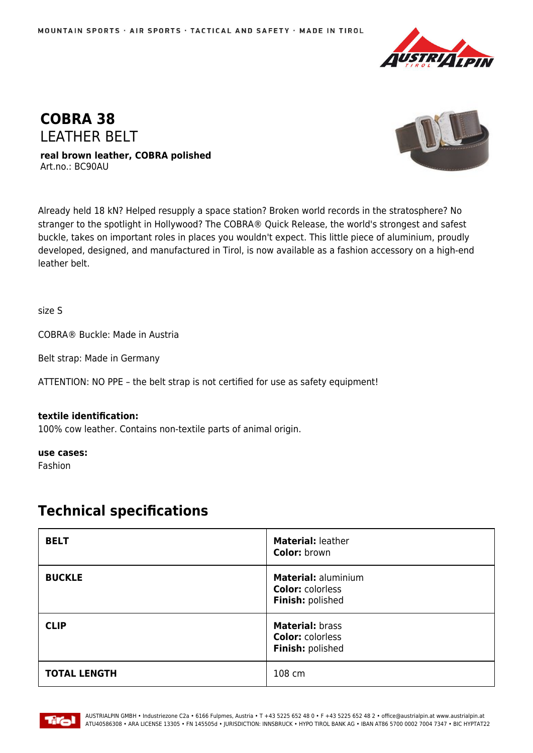



**real brown leather, COBRA polished** Art.no.: BC90AU



Already held 18 kN? Helped resupply a space station? Broken world records in the stratosphere? No stranger to the spotlight in Hollywood? The COBRA® Quick Release, the world's strongest and safest buckle, takes on important roles in places you wouldn't expect. This little piece of aluminium, proudly developed, designed, and manufactured in Tirol, is now available as a fashion accessory on a high-end leather belt.

size S

COBRA® Buckle: Made in Austria

Belt strap: Made in Germany

ATTENTION: NO PPE – the belt strap is not certified for use as safety equipment!

## **textile identification:**

100% cow leather. Contains non-textile parts of animal origin.

**use cases:**

Fashion

## **Technical specifications**

| <b>BELT</b>         | Material: leather<br><b>Color: brown</b>                           |
|---------------------|--------------------------------------------------------------------|
| <b>BUCKLE</b>       | Material: aluminium<br><b>Color: colorless</b><br>Finish: polished |
| <b>CLIP</b>         | Material: brass<br><b>Color: colorless</b><br>Finish: polished     |
| <b>TOTAL LENGTH</b> | 108 cm                                                             |